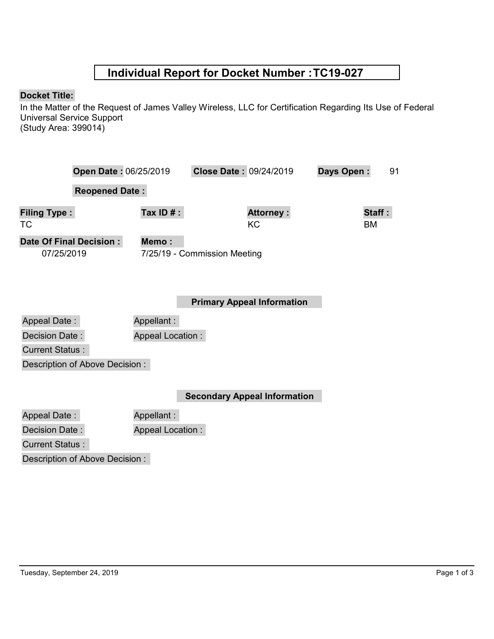## **Individual Report for Docket Number :TC19-027**

## **Docket Title:**

In the Matter of the Request of James Valley Wireless, LLC for Certification Regarding Its Use of Federal Universal Service Support (Study Area: 399014)

| Open Date: 06/25/2019                        |                         | Close Date: 09/24/2019       |                                   | 91<br>Days Open: |
|----------------------------------------------|-------------------------|------------------------------|-----------------------------------|------------------|
| <b>Reopened Date:</b>                        |                         |                              |                                   |                  |
| <b>Filing Type:</b><br>ТC                    | Tax ID $#$ :            |                              | <b>Attorney:</b><br>KC.           | Staff:<br>ВM     |
| <b>Date Of Final Decision:</b><br>07/25/2019 | Memo:                   | 7/25/19 - Commission Meeting |                                   |                  |
|                                              |                         |                              | <b>Primary Appeal Information</b> |                  |
| <b>Appeal Date:</b>                          | Appellant:              |                              |                                   |                  |
| Decision Date:                               | <b>Appeal Location:</b> |                              |                                   |                  |
| <b>Current Status:</b>                       |                         |                              |                                   |                  |

Description of Above Decision :

**Secondary Appeal Information**

Appeal Date : Appellant :

Decision Date :

Appeal Location :

Current Status :

Description of Above Decision :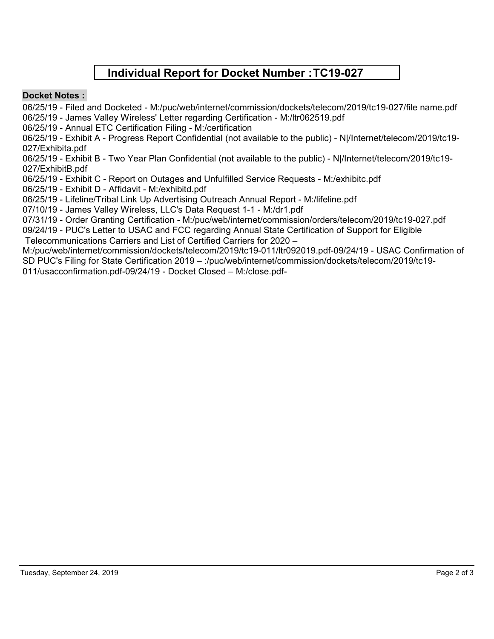## **Individual Report for Docket Number :TC19-027**

## **Docket Notes :**

06/25/19 - Filed and Docketed - M:/puc/web/internet/commission/dockets/telecom/2019/tc19-027/file name.pdf 06/25/19 - James Valley Wireless' Letter regarding Certification - M:/ltr062519.pdf

06/25/19 - Annual ETC Certification Filing - M:/certification

06/25/19 - Exhibit A - Progress Report Confidential (not available to the public) - N|/Internet/telecom/2019/tc19- 027/Exhibita.pdf

06/25/19 - Exhibit B - Two Year Plan Confidential (not available to the public) - N|/Internet/telecom/2019/tc19- 027/ExhibitB.pdf

06/25/19 - Exhibit C - Report on Outages and Unfulfilled Service Requests - M:/exhibitc.pdf

06/25/19 - Exhibit D - Affidavit - M:/exhibitd.pdf

06/25/19 - Lifeline/Tribal Link Up Advertising Outreach Annual Report - M:/lifeline.pdf

07/10/19 - James Valley Wireless, LLC's Data Request 1-1 - M:/dr1.pdf

07/31/19 - Order Granting Certification - M:/puc/web/internet/commission/orders/telecom/2019/tc19-027.pdf 09/24/19 - PUC's Letter to USAC and FCC regarding Annual State Certification of Support for Eligible

Telecommunications Carriers and List of Certified Carriers for 2020 –

M:/puc/web/internet/commission/dockets/telecom/2019/tc19-011/ltr092019.pdf-09/24/19 - USAC Confirmation of SD PUC's Filing for State Certification 2019 – :/puc/web/internet/commission/dockets/telecom/2019/tc19- 011/usacconfirmation.pdf-09/24/19 - Docket Closed – M:/close.pdf